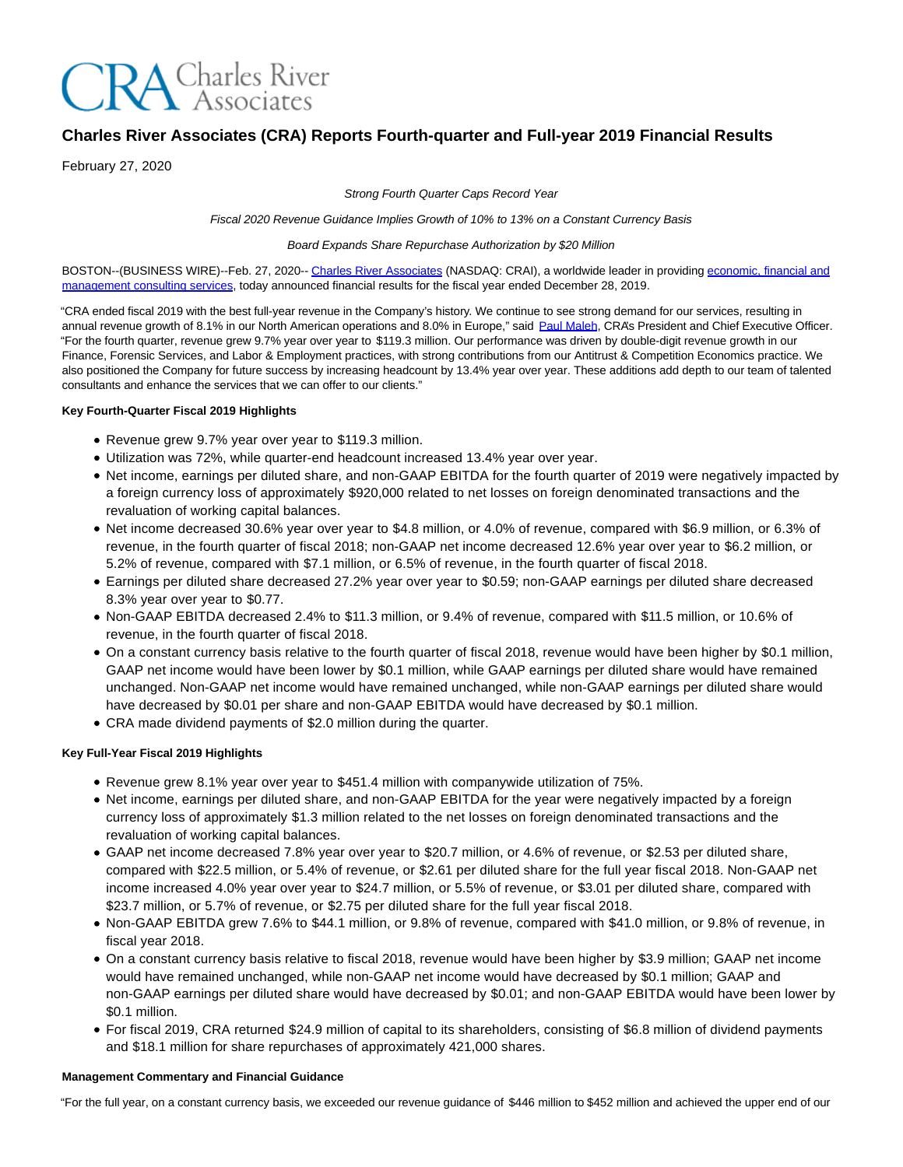

# **Charles River Associates (CRA) Reports Fourth-quarter and Full-year 2019 Financial Results**

February 27, 2020

Strong Fourth Quarter Caps Record Year

Fiscal 2020 Revenue Guidance Implies Growth of 10% to 13% on a Constant Currency Basis

Board Expands Share Repurchase Authorization by \$20 Million

BOSTON--(BUSINESS WIRE)--Feb. 27, 2020-[- Charles River Associates \(](https://cts.businesswire.com/ct/CT?id=smartlink&url=http%3A%2F%2Fwww.crai.com%2FDefault.aspx&esheet=52180336&newsitemid=20200227005489&lan=en-US&anchor=Charles+River+Associates&index=1&md5=21afda34939a229ebbdca0b0b5d00367)NASDAQ: CRAI), a worldwide leader in providing [economic, financial and](https://cts.businesswire.com/ct/CT?id=smartlink&url=http%3A%2F%2Fwww.crai.com%2F&esheet=52180336&newsitemid=20200227005489&lan=en-US&anchor=economic%2C+financial+and+management+consulting+services&index=2&md5=8fe121654e30f55780616d3aaf13762b) management consulting services, today announced financial results for the fiscal year ended December 28, 2019.

"CRA ended fiscal 2019 with the best full-year revenue in the Company's history. We continue to see strong demand for our services, resulting in annual revenue growth of 8.1% in our North American operations and 8.0% in Europe," said [Paul Maleh,](https://cts.businesswire.com/ct/CT?id=smartlink&url=http%3A%2F%2Fwww.crai.com%2Fexpert%2Fpaul-maleh&esheet=52180336&newsitemid=20200227005489&lan=en-US&anchor=Paul+Maleh&index=3&md5=4738ca3fe53d0552658dddead0118d74) CRA's President and Chief Executive Officer. "For the fourth quarter, revenue grew 9.7% year over year to \$119.3 million. Our performance was driven by double-digit revenue growth in our Finance, Forensic Services, and Labor & Employment practices, with strong contributions from our Antitrust & Competition Economics practice. We also positioned the Company for future success by increasing headcount by 13.4% year over year. These additions add depth to our team of talented consultants and enhance the services that we can offer to our clients."

#### **Key Fourth-Quarter Fiscal 2019 Highlights**

- Revenue grew 9.7% year over year to \$119.3 million.
- Utilization was 72%, while quarter-end headcount increased 13.4% year over year.
- Net income, earnings per diluted share, and non-GAAP EBITDA for the fourth quarter of 2019 were negatively impacted by a foreign currency loss of approximately \$920,000 related to net losses on foreign denominated transactions and the revaluation of working capital balances.
- Net income decreased 30.6% year over year to \$4.8 million, or 4.0% of revenue, compared with \$6.9 million, or 6.3% of revenue, in the fourth quarter of fiscal 2018; non-GAAP net income decreased 12.6% year over year to \$6.2 million, or 5.2% of revenue, compared with \$7.1 million, or 6.5% of revenue, in the fourth quarter of fiscal 2018.
- Earnings per diluted share decreased 27.2% year over year to \$0.59; non-GAAP earnings per diluted share decreased 8.3% year over year to \$0.77.
- Non-GAAP EBITDA decreased 2.4% to \$11.3 million, or 9.4% of revenue, compared with \$11.5 million, or 10.6% of revenue, in the fourth quarter of fiscal 2018.
- On a constant currency basis relative to the fourth quarter of fiscal 2018, revenue would have been higher by \$0.1 million, GAAP net income would have been lower by \$0.1 million, while GAAP earnings per diluted share would have remained unchanged. Non-GAAP net income would have remained unchanged, while non-GAAP earnings per diluted share would have decreased by \$0.01 per share and non-GAAP EBITDA would have decreased by \$0.1 million.
- CRA made dividend payments of \$2.0 million during the quarter.

### **Key Full-Year Fiscal 2019 Highlights**

- Revenue grew 8.1% year over year to \$451.4 million with companywide utilization of 75%.
- Net income, earnings per diluted share, and non-GAAP EBITDA for the year were negatively impacted by a foreign currency loss of approximately \$1.3 million related to the net losses on foreign denominated transactions and the revaluation of working capital balances.
- GAAP net income decreased 7.8% year over year to \$20.7 million, or 4.6% of revenue, or \$2.53 per diluted share, compared with \$22.5 million, or 5.4% of revenue, or \$2.61 per diluted share for the full year fiscal 2018. Non-GAAP net income increased 4.0% year over year to \$24.7 million, or 5.5% of revenue, or \$3.01 per diluted share, compared with \$23.7 million, or 5.7% of revenue, or \$2.75 per diluted share for the full year fiscal 2018.
- Non-GAAP EBITDA grew 7.6% to \$44.1 million, or 9.8% of revenue, compared with \$41.0 million, or 9.8% of revenue, in fiscal year 2018.
- On a constant currency basis relative to fiscal 2018, revenue would have been higher by \$3.9 million; GAAP net income would have remained unchanged, while non-GAAP net income would have decreased by \$0.1 million; GAAP and non-GAAP earnings per diluted share would have decreased by \$0.01; and non-GAAP EBITDA would have been lower by \$0.1 million.
- For fiscal 2019, CRA returned \$24.9 million of capital to its shareholders, consisting of \$6.8 million of dividend payments and \$18.1 million for share repurchases of approximately 421,000 shares.

#### **Management Commentary and Financial Guidance**

"For the full year, on a constant currency basis, we exceeded our revenue guidance of \$446 million to \$452 million and achieved the upper end of our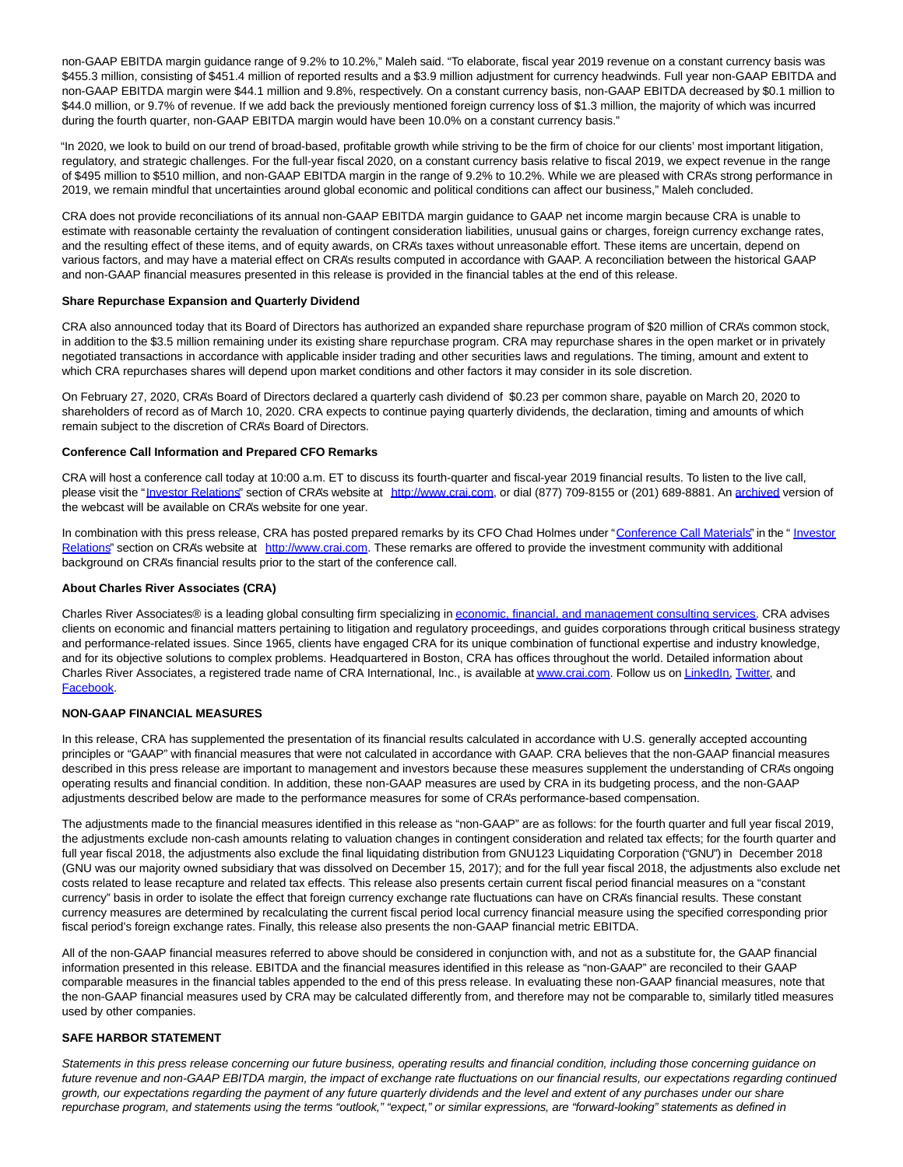non-GAAP EBITDA margin guidance range of 9.2% to 10.2%," Maleh said. "To elaborate, fiscal year 2019 revenue on a constant currency basis was \$455.3 million, consisting of \$451.4 million of reported results and a \$3.9 million adjustment for currency headwinds. Full year non-GAAP EBITDA and non-GAAP EBITDA margin were \$44.1 million and 9.8%, respectively. On a constant currency basis, non-GAAP EBITDA decreased by \$0.1 million to \$44.0 million, or 9.7% of revenue. If we add back the previously mentioned foreign currency loss of \$1.3 million, the majority of which was incurred during the fourth quarter, non-GAAP EBITDA margin would have been 10.0% on a constant currency basis."

"In 2020, we look to build on our trend of broad-based, profitable growth while striving to be the firm of choice for our clients' most important litigation, regulatory, and strategic challenges. For the full-year fiscal 2020, on a constant currency basis relative to fiscal 2019, we expect revenue in the range of \$495 million to \$510 million, and non-GAAP EBITDA margin in the range of 9.2% to 10.2%. While we are pleased with CRA's strong performance in 2019, we remain mindful that uncertainties around global economic and political conditions can affect our business," Maleh concluded.

CRA does not provide reconciliations of its annual non-GAAP EBITDA margin guidance to GAAP net income margin because CRA is unable to estimate with reasonable certainty the revaluation of contingent consideration liabilities, unusual gains or charges, foreign currency exchange rates, and the resulting effect of these items, and of equity awards, on CRA's taxes without unreasonable effort. These items are uncertain, depend on various factors, and may have a material effect on CRA's results computed in accordance with GAAP. A reconciliation between the historical GAAP and non-GAAP financial measures presented in this release is provided in the financial tables at the end of this release.

#### **Share Repurchase Expansion and Quarterly Dividend**

CRA also announced today that its Board of Directors has authorized an expanded share repurchase program of \$20 million of CRA's common stock, in addition to the \$3.5 million remaining under its existing share repurchase program. CRA may repurchase shares in the open market or in privately negotiated transactions in accordance with applicable insider trading and other securities laws and regulations. The timing, amount and extent to which CRA repurchases shares will depend upon market conditions and other factors it may consider in its sole discretion.

On February 27, 2020, CRA's Board of Directors declared a quarterly cash dividend of \$0.23 per common share, payable on March 20, 2020 to shareholders of record as of March 10, 2020. CRA expects to continue paying quarterly dividends, the declaration, timing and amounts of which remain subject to the discretion of CRA's Board of Directors.

#### **Conference Call Information and Prepared CFO Remarks**

CRA will host a conference call today at 10:00 a.m. ET to discuss its fourth-quarter and fiscal-year 2019 financial results. To listen to the live call, please visit the ["Investor Relations"](https://cts.businesswire.com/ct/CT?id=smartlink&url=https%3A%2F%2Fcrainternationalinc.gcs-web.com%2Finvestor-overview&esheet=52180336&newsitemid=20200227005489&lan=en-US&anchor=Investor+Relations&index=4&md5=2a487cf1e2219c094409c79185f9033a) section of CRA's website at [http://www.crai.com,](https://cts.businesswire.com/ct/CT?id=smartlink&url=http%3A%2F%2Fwww.crai.com%2FDefault.aspx&esheet=52180336&newsitemid=20200227005489&lan=en-US&anchor=http%3A%2F%2Fwww.crai.com&index=5&md5=da5a422930403a0b0a695f8c12db9c30) or dial (877) 709-8155 or (201) 689-8881. An [archived v](https://cts.businesswire.com/ct/CT?id=smartlink&url=https%3A%2F%2Fcrainternationalinc.gcs-web.com%2Fevents-and-presentations%2Fpast-event&esheet=52180336&newsitemid=20200227005489&lan=en-US&anchor=archived&index=6&md5=0530a4f5a25b6f11209ba55d720810ad)ersion of the webcast will be available on CRA's website for one year.

In combination with this press release, CRA has posted prepared remarks by its CFO Chad Holmes under ["Conference Call Materials"](https://cts.businesswire.com/ct/CT?id=smartlink&url=https%3A%2F%2Fcrainternationalinc.gcs-web.com%2Ffinancial-information%2Fquarterly-results&esheet=52180336&newsitemid=20200227005489&lan=en-US&anchor=Conference+Call+Materials&index=7&md5=7f3321ef04f7e1bedf7b8ed4a9fb171d) in the " [Investor](https://cts.businesswire.com/ct/CT?id=smartlink&url=https%3A%2F%2Fcrainternationalinc.gcs-web.com%2Finvestor-overview&esheet=52180336&newsitemid=20200227005489&lan=en-US&anchor=Investor+Relations&index=8&md5=00b1aab782ca8d4d45c533185555d642) Relations" section on CRA's website at [http://www.crai.com.](https://cts.businesswire.com/ct/CT?id=smartlink&url=http%3A%2F%2Fwww.crai.com%2FDefault.aspx&esheet=52180336&newsitemid=20200227005489&lan=en-US&anchor=http%3A%2F%2Fwww.crai.com&index=9&md5=306f0594774ffb04335171979990edad) These remarks are offered to provide the investment community with additional background on CRA's financial results prior to the start of the conference call.

#### **About Charles River Associates (CRA)**

Charles River Associates® is a leading global consulting firm specializing i[n economic, financial, and management consulting services.](https://cts.businesswire.com/ct/CT?id=smartlink&url=http%3A%2F%2Fwww.crai.com%2F&esheet=52180336&newsitemid=20200227005489&lan=en-US&anchor=economic%2C+financial%2C+and+management+consulting+services&index=10&md5=314197eff2247f329469ed1b7939f6d7) CRA advises clients on economic and financial matters pertaining to litigation and regulatory proceedings, and guides corporations through critical business strategy and performance-related issues. Since 1965, clients have engaged CRA for its unique combination of functional expertise and industry knowledge, and for its objective solutions to complex problems. Headquartered in Boston, CRA has offices throughout the world. Detailed information about Charles River Associates, a registered trade name of CRA International, Inc., is available a[t www.crai.com.](https://cts.businesswire.com/ct/CT?id=smartlink&url=http%3A%2F%2Fwww.crai.com&esheet=52180336&newsitemid=20200227005489&lan=en-US&anchor=www.crai.com&index=11&md5=7287fb93c8799ec38a76134ba2f8337e) Follow us o[n LinkedIn,](https://cts.businesswire.com/ct/CT?id=smartlink&url=https%3A%2F%2Fwww.linkedin.com%2Fcompany%2Fcharles-river-associates&esheet=52180336&newsitemid=20200227005489&lan=en-US&anchor=LinkedIn&index=12&md5=90393c058c799f04e475d2f37877049e) [Twitter,](https://cts.businesswire.com/ct/CT?id=smartlink&url=https%3A%2F%2Ftwitter.com%2FNews_CRA&esheet=52180336&newsitemid=20200227005489&lan=en-US&anchor=Twitter&index=13&md5=2cb2509425494fba649f1ae58d717bc2) and [Facebook.](https://cts.businesswire.com/ct/CT?id=smartlink&url=https%3A%2F%2Fwww.facebook.com%2FCharlesRiverAssociates&esheet=52180336&newsitemid=20200227005489&lan=en-US&anchor=Facebook&index=14&md5=6de862b7e0c3e3b8755fe29414e25d24)

#### **NON-GAAP FINANCIAL MEASURES**

In this release, CRA has supplemented the presentation of its financial results calculated in accordance with U.S. generally accepted accounting principles or "GAAP" with financial measures that were not calculated in accordance with GAAP. CRA believes that the non-GAAP financial measures described in this press release are important to management and investors because these measures supplement the understanding of CRA's ongoing operating results and financial condition. In addition, these non-GAAP measures are used by CRA in its budgeting process, and the non-GAAP adjustments described below are made to the performance measures for some of CRA's performance-based compensation.

The adjustments made to the financial measures identified in this release as "non-GAAP" are as follows: for the fourth quarter and full year fiscal 2019, the adjustments exclude non-cash amounts relating to valuation changes in contingent consideration and related tax effects; for the fourth quarter and full year fiscal 2018, the adjustments also exclude the final liquidating distribution from GNU123 Liquidating Corporation ("GNU") in December 2018 (GNU was our majority owned subsidiary that was dissolved on December 15, 2017); and for the full year fiscal 2018, the adjustments also exclude net costs related to lease recapture and related tax effects. This release also presents certain current fiscal period financial measures on a "constant currency" basis in order to isolate the effect that foreign currency exchange rate fluctuations can have on CRA's financial results. These constant currency measures are determined by recalculating the current fiscal period local currency financial measure using the specified corresponding prior fiscal period's foreign exchange rates. Finally, this release also presents the non-GAAP financial metric EBITDA.

All of the non-GAAP financial measures referred to above should be considered in conjunction with, and not as a substitute for, the GAAP financial information presented in this release. EBITDA and the financial measures identified in this release as "non-GAAP" are reconciled to their GAAP comparable measures in the financial tables appended to the end of this press release. In evaluating these non-GAAP financial measures, note that the non-GAAP financial measures used by CRA may be calculated differently from, and therefore may not be comparable to, similarly titled measures used by other companies.

#### **SAFE HARBOR STATEMENT**

Statements in this press release concerning our future business, operating results and financial condition, including those concerning guidance on future revenue and non-GAAP EBITDA margin, the impact of exchange rate fluctuations on our financial results, our expectations regarding continued growth, our expectations regarding the payment of any future quarterly dividends and the level and extent of any purchases under our share repurchase program, and statements using the terms "outlook," "expect," or similar expressions, are "forward-looking" statements as defined in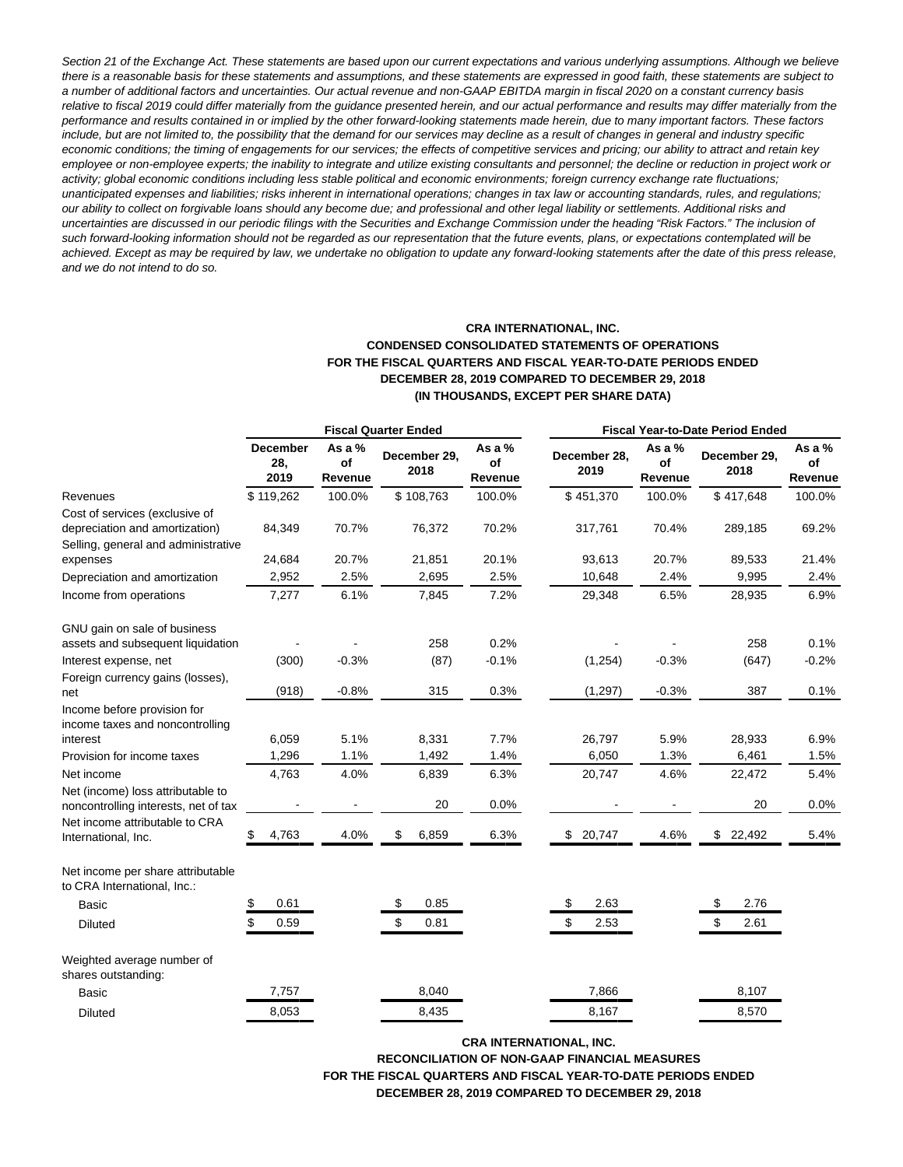Section 21 of the Exchange Act. These statements are based upon our current expectations and various underlying assumptions. Although we believe there is a reasonable basis for these statements and assumptions, and these statements are expressed in good faith, these statements are subject to a number of additional factors and uncertainties. Our actual revenue and non-GAAP EBITDA margin in fiscal 2020 on a constant currency basis relative to fiscal 2019 could differ materially from the quidance presented herein, and our actual performance and results may differ materially from the performance and results contained in or implied by the other forward-looking statements made herein, due to many important factors. These factors include, but are not limited to, the possibility that the demand for our services may decline as a result of changes in general and industry specific economic conditions; the timing of engagements for our services; the effects of competitive services and pricing; our ability to attract and retain key employee or non-employee experts; the inability to integrate and utilize existing consultants and personnel; the decline or reduction in project work or activity; global economic conditions including less stable political and economic environments; foreign currency exchange rate fluctuations; unanticipated expenses and liabilities; risks inherent in international operations; changes in tax law or accounting standards, rules, and regulations; our ability to collect on forgivable loans should any become due; and professional and other legal liability or settlements. Additional risks and uncertainties are discussed in our periodic filings with the Securities and Exchange Commission under the heading "Risk Factors." The inclusion of such forward-looking information should not be regarded as our representation that the future events, plans, or expectations contemplated will be achieved. Except as may be required by law, we undertake no obligation to update any forward-looking statements after the date of this press release, and we do not intend to do so.

# **CRA INTERNATIONAL, INC. CONDENSED CONSOLIDATED STATEMENTS OF OPERATIONS FOR THE FISCAL QUARTERS AND FISCAL YEAR-TO-DATE PERIODS ENDED DECEMBER 28, 2019 COMPARED TO DECEMBER 29, 2018 (IN THOUSANDS, EXCEPT PER SHARE DATA)**

|                                                                           |                                |                         | <b>Fiscal Quarter Ended</b> |                           | <b>Fiscal Year-to-Date Period Ended</b> |                         |                      |                           |  |  |
|---------------------------------------------------------------------------|--------------------------------|-------------------------|-----------------------------|---------------------------|-----------------------------------------|-------------------------|----------------------|---------------------------|--|--|
|                                                                           | <b>December</b><br>28,<br>2019 | As a %<br>of<br>Revenue | December 29,<br>2018        | As a $%$<br>of<br>Revenue | December 28,<br>2019                    | As a %<br>of<br>Revenue | December 29,<br>2018 | As a $%$<br>of<br>Revenue |  |  |
| Revenues                                                                  | \$119,262                      | 100.0%                  | \$108,763                   | 100.0%                    | \$451,370                               | 100.0%                  | \$417.648            | 100.0%                    |  |  |
| Cost of services (exclusive of                                            |                                |                         |                             |                           |                                         |                         |                      |                           |  |  |
| depreciation and amortization)                                            | 84,349                         | 70.7%                   | 76,372                      | 70.2%                     | 317,761                                 | 70.4%                   | 289,185              | 69.2%                     |  |  |
| Selling, general and administrative                                       |                                |                         |                             |                           |                                         |                         |                      |                           |  |  |
| expenses                                                                  | 24,684                         | 20.7%                   | 21,851                      | 20.1%                     | 93,613                                  | 20.7%                   | 89,533               | 21.4%                     |  |  |
| Depreciation and amortization                                             | 2,952                          | 2.5%                    | 2,695                       | 2.5%                      | 10,648                                  | 2.4%                    | 9,995                | 2.4%                      |  |  |
| Income from operations                                                    | 7,277                          | 6.1%                    | 7,845                       | 7.2%                      | 29,348                                  | 6.5%                    | 28,935               | 6.9%                      |  |  |
| GNU gain on sale of business<br>assets and subsequent liquidation         |                                |                         | 258                         | 0.2%                      |                                         |                         | 258                  | 0.1%                      |  |  |
| Interest expense, net                                                     | (300)                          | $-0.3%$                 | (87)                        | $-0.1%$                   | (1, 254)                                | $-0.3%$                 | (647)                | $-0.2%$                   |  |  |
| Foreign currency gains (losses),                                          |                                |                         |                             |                           |                                         |                         |                      |                           |  |  |
| net                                                                       | (918)                          | $-0.8%$                 | 315                         | 0.3%                      | (1, 297)                                | $-0.3%$                 | 387                  | 0.1%                      |  |  |
| Income before provision for<br>income taxes and noncontrolling            |                                |                         |                             |                           |                                         |                         |                      |                           |  |  |
| interest                                                                  | 6,059                          | 5.1%                    | 8,331                       | 7.7%                      | 26,797                                  | 5.9%                    | 28,933               | 6.9%                      |  |  |
| Provision for income taxes                                                | 1,296                          | 1.1%                    | 1,492                       | 1.4%                      | 6,050                                   | 1.3%                    | 6,461                | 1.5%                      |  |  |
| Net income                                                                | 4,763                          | 4.0%                    | 6,839                       | 6.3%                      | 20,747                                  | 4.6%                    | 22,472               | 5.4%                      |  |  |
| Net (income) loss attributable to<br>noncontrolling interests, net of tax |                                |                         | 20                          | 0.0%                      |                                         |                         | 20                   | 0.0%                      |  |  |
| Net income attributable to CRA                                            |                                |                         |                             |                           |                                         |                         |                      |                           |  |  |
| International, Inc.                                                       | 4,763                          | 4.0%                    | \$<br>6,859                 | 6.3%                      | \$20,747                                | 4.6%                    | \$<br>22,492         | 5.4%                      |  |  |
| Net income per share attributable<br>to CRA International, Inc.:          |                                |                         |                             |                           |                                         |                         |                      |                           |  |  |
| Basic                                                                     | 0.61<br>\$                     |                         | 0.85<br>S                   |                           | 2.63                                    |                         | 2.76<br>S            |                           |  |  |
| <b>Diluted</b>                                                            | \$<br>0.59                     |                         | \$<br>0.81                  |                           | 2.53<br>\$                              |                         | \$<br>2.61           |                           |  |  |
| Weighted average number of<br>shares outstanding:                         |                                |                         |                             |                           |                                         |                         |                      |                           |  |  |
| Basic                                                                     | 7,757                          |                         | 8,040                       |                           | 7,866                                   |                         | 8,107                |                           |  |  |
| <b>Diluted</b>                                                            | 8,053                          |                         | 8,435                       |                           | 8,167                                   |                         | 8,570                |                           |  |  |

**CRA INTERNATIONAL, INC. RECONCILIATION OF NON-GAAP FINANCIAL MEASURES FOR THE FISCAL QUARTERS AND FISCAL YEAR-TO-DATE PERIODS ENDED DECEMBER 28, 2019 COMPARED TO DECEMBER 29, 2018**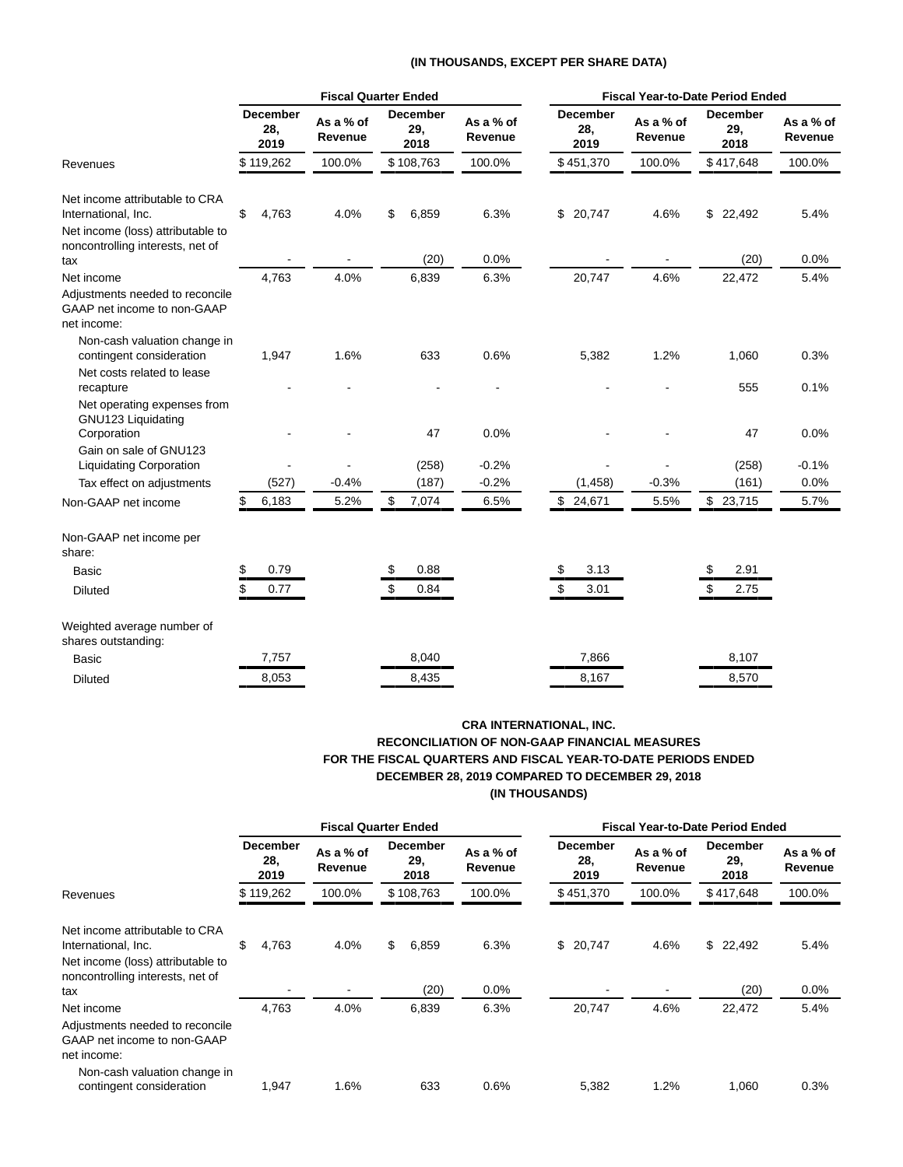### **(IN THOUSANDS, EXCEPT PER SHARE DATA)**

|                                                                                                                                | <b>Fiscal Quarter Ended</b>    |                      |                                |                      | <b>Fiscal Year-to-Date Period Ended</b> |                      |                                |                      |  |  |
|--------------------------------------------------------------------------------------------------------------------------------|--------------------------------|----------------------|--------------------------------|----------------------|-----------------------------------------|----------------------|--------------------------------|----------------------|--|--|
|                                                                                                                                | <b>December</b><br>28,<br>2019 | As a % of<br>Revenue | <b>December</b><br>29,<br>2018 | As a % of<br>Revenue | <b>December</b><br>28,<br>2019          | As a % of<br>Revenue | <b>December</b><br>29,<br>2018 | As a % of<br>Revenue |  |  |
| Revenues                                                                                                                       | \$119,262                      | 100.0%               | \$108,763                      | 100.0%               | \$451,370                               | 100.0%               | \$417,648                      | 100.0%               |  |  |
| Net income attributable to CRA<br>International, Inc.<br>Net income (loss) attributable to<br>noncontrolling interests, net of | \$<br>4,763                    | 4.0%                 | \$<br>6,859                    | 6.3%                 | \$20,747                                | 4.6%                 | \$22,492                       | 5.4%                 |  |  |
| tax                                                                                                                            |                                |                      | (20)                           | 0.0%                 |                                         |                      | (20)                           | 0.0%                 |  |  |
| Net income                                                                                                                     | 4,763                          | 4.0%                 | 6,839                          | 6.3%                 | 20,747                                  | 4.6%                 | 22,472                         | 5.4%                 |  |  |
| Adjustments needed to reconcile<br>GAAP net income to non-GAAP<br>net income:                                                  |                                |                      |                                |                      |                                         |                      |                                |                      |  |  |
| Non-cash valuation change in<br>contingent consideration                                                                       | 1,947                          | 1.6%                 | 633                            | 0.6%                 | 5,382                                   | 1.2%                 | 1,060                          | 0.3%                 |  |  |
| Net costs related to lease<br>recapture                                                                                        |                                |                      |                                |                      |                                         |                      | 555                            | 0.1%                 |  |  |
| Net operating expenses from<br>GNU123 Liquidating<br>Corporation                                                               |                                |                      | 47                             | 0.0%                 |                                         |                      | 47                             | 0.0%                 |  |  |
| Gain on sale of GNU123<br><b>Liquidating Corporation</b>                                                                       |                                |                      | (258)                          | $-0.2%$              |                                         |                      | (258)                          | $-0.1%$              |  |  |
| Tax effect on adjustments                                                                                                      | (527)                          | $-0.4%$              | (187)                          | $-0.2%$              | (1, 458)                                | $-0.3%$              | (161)                          | 0.0%                 |  |  |
| Non-GAAP net income                                                                                                            | 6,183<br>\$                    | 5.2%                 | \$<br>7,074                    | 6.5%                 | \$24,671                                | 5.5%                 | \$23,715                       | 5.7%                 |  |  |
| Non-GAAP net income per<br>share:                                                                                              |                                |                      |                                |                      |                                         |                      |                                |                      |  |  |
| Basic                                                                                                                          | 0.79<br>\$                     |                      | 0.88                           |                      | 3.13                                    |                      | 2.91                           |                      |  |  |
| <b>Diluted</b>                                                                                                                 | 0.77<br>\$                     |                      | 0.84<br>\$                     |                      | 3.01<br>S                               |                      | \$<br>2.75                     |                      |  |  |
| Weighted average number of<br>shares outstanding:                                                                              |                                |                      |                                |                      |                                         |                      |                                |                      |  |  |
| <b>Basic</b>                                                                                                                   | 7,757                          |                      | 8,040                          |                      | 7,866                                   |                      | 8,107                          |                      |  |  |
| <b>Diluted</b>                                                                                                                 | 8,053                          |                      | 8,435                          |                      | 8,167                                   |                      | 8,570                          |                      |  |  |

# **CRA INTERNATIONAL, INC. RECONCILIATION OF NON-GAAP FINANCIAL MEASURES FOR THE FISCAL QUARTERS AND FISCAL YEAR-TO-DATE PERIODS ENDED DECEMBER 28, 2019 COMPARED TO DECEMBER 29, 2018 (IN THOUSANDS)**

|                                                                                                                                | <b>Fiscal Quarter Ended</b> |                                |                      |    | <b>Fiscal Year-to-Date Period Ended</b> |                      |                                |        |                      |                                |      |                      |
|--------------------------------------------------------------------------------------------------------------------------------|-----------------------------|--------------------------------|----------------------|----|-----------------------------------------|----------------------|--------------------------------|--------|----------------------|--------------------------------|------|----------------------|
|                                                                                                                                |                             | <b>December</b><br>28,<br>2019 | As a % of<br>Revenue |    | <b>December</b><br>29,<br>2018          | As a % of<br>Revenue | <b>December</b><br>28,<br>2019 |        | As a % of<br>Revenue | <b>December</b><br>29,<br>2018 |      | As a % of<br>Revenue |
| Revenues                                                                                                                       |                             | \$119,262                      | 100.0%               |    | \$108,763                               | 100.0%               | \$451,370                      |        | 100.0%               | \$417.648                      |      | 100.0%               |
| Net income attributable to CRA<br>International, Inc.<br>Net income (loss) attributable to<br>noncontrolling interests, net of | \$                          | 4,763                          | 4.0%                 | \$ | 6,859                                   | 6.3%                 | \$20,747                       |        | 4.6%                 | \$22,492                       |      | 5.4%                 |
| tax                                                                                                                            |                             |                                |                      |    | (20)                                    | 0.0%                 |                                |        |                      |                                | (20) | $0.0\%$              |
| Net income<br>Adjustments needed to reconcile<br>GAAP net income to non-GAAP<br>net income:<br>Non-cash valuation change in    |                             | 4,763                          | 4.0%                 |    | 6,839                                   | 6.3%                 |                                | 20,747 | 4.6%                 | 22,472                         |      | 5.4%                 |
| contingent consideration                                                                                                       |                             | 1.947                          | 1.6%                 |    | 633                                     | 0.6%                 |                                | 5,382  | 1.2%                 | 1,060                          |      | 0.3%                 |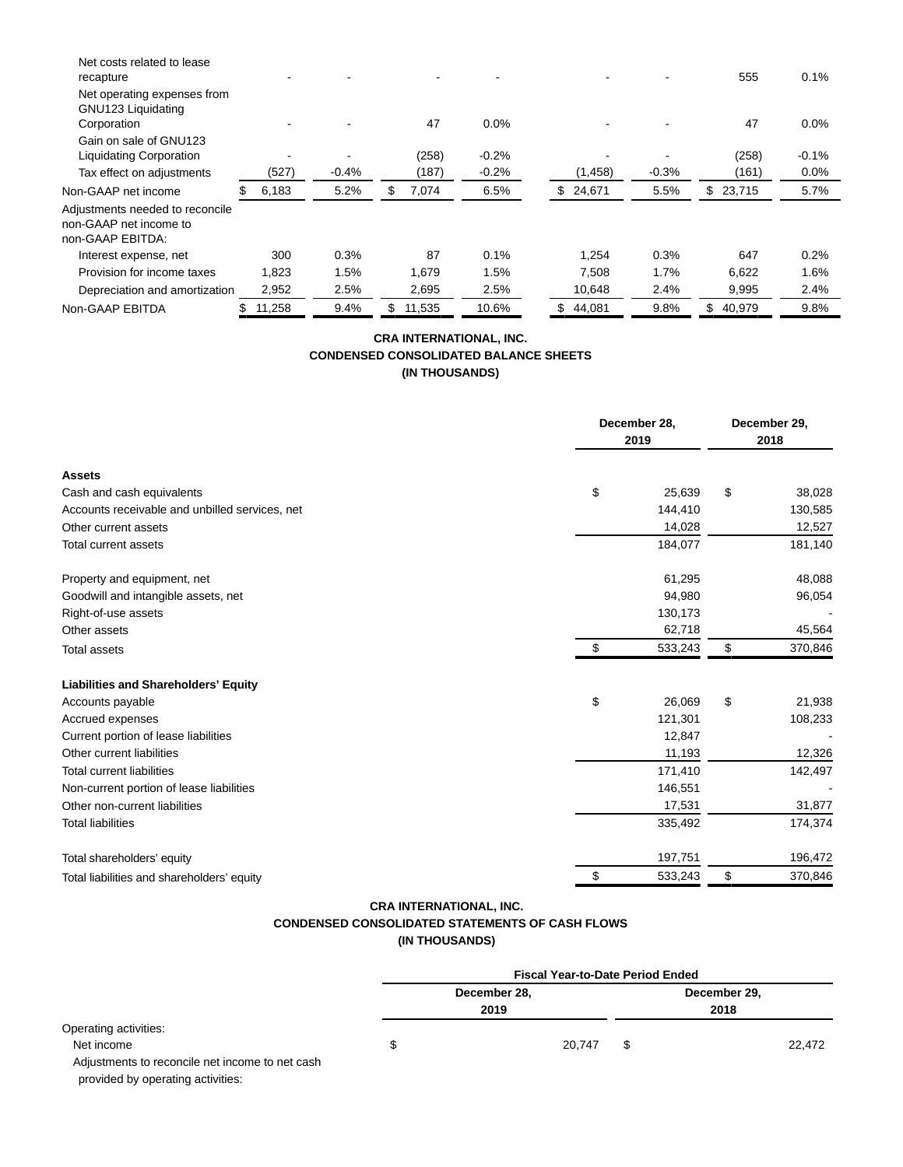| Net costs related to lease<br>recapture                                       |              |         |              |         |              |         | 555          | 0.1%    |
|-------------------------------------------------------------------------------|--------------|---------|--------------|---------|--------------|---------|--------------|---------|
| Net operating expenses from<br>GNU123 Liquidating<br>Corporation              |              |         | 47           | 0.0%    |              |         | 47           | $0.0\%$ |
| Gain on sale of GNU123<br><b>Liquidating Corporation</b>                      |              |         | (258)        | $-0.2%$ |              |         | (258)        | $-0.1%$ |
| Tax effect on adjustments                                                     | (527)        | $-0.4%$ | (187)        | $-0.2%$ | (1, 458)     | $-0.3%$ | (161)        | $0.0\%$ |
| Non-GAAP net income                                                           | 6,183        | 5.2%    | 7,074<br>S   | 6.5%    | 24,671<br>\$ | 5.5%    | \$23,715     | 5.7%    |
| Adjustments needed to reconcile<br>non-GAAP net income to<br>non-GAAP EBITDA: |              |         |              |         |              |         |              |         |
| Interest expense, net                                                         | 300          | 0.3%    | 87           | 0.1%    | 1,254        | 0.3%    | 647          | 0.2%    |
| Provision for income taxes                                                    | 1.823        | 1.5%    | 1,679        | 1.5%    | 7,508        | 1.7%    | 6,622        | 1.6%    |
| Depreciation and amortization                                                 | 2,952        | 2.5%    | 2,695        | 2.5%    | 10,648       | 2.4%    | 9,995        | 2.4%    |
| Non-GAAP EBITDA                                                               | 11,258<br>\$ | 9.4%    | 11,535<br>\$ | 10.6%   | \$<br>44,081 | 9.8%    | \$<br>40,979 | 9.8%    |

### **CRA INTERNATIONAL, INC. CONDENSED CONSOLIDATED BALANCE SHEETS (IN THOUSANDS)**

|                                                | December 28,<br>2019 |    |         |  |  |
|------------------------------------------------|----------------------|----|---------|--|--|
| <b>Assets</b>                                  |                      |    |         |  |  |
| Cash and cash equivalents                      | \$<br>25,639         | \$ | 38,028  |  |  |
| Accounts receivable and unbilled services, net | 144,410              |    | 130,585 |  |  |
| Other current assets                           | 14,028               |    | 12,527  |  |  |
| <b>Total current assets</b>                    | 184,077              |    | 181,140 |  |  |
| Property and equipment, net                    | 61,295               |    | 48,088  |  |  |
| Goodwill and intangible assets, net            | 94,980               |    | 96,054  |  |  |
| Right-of-use assets                            | 130,173              |    |         |  |  |
| Other assets                                   | 62,718               |    | 45,564  |  |  |
| <b>Total assets</b>                            | \$<br>533,243        | \$ | 370,846 |  |  |
| Liabilities and Shareholders' Equity           |                      |    |         |  |  |
| Accounts payable                               | \$<br>26,069         | \$ | 21,938  |  |  |
| Accrued expenses                               | 121,301              |    | 108,233 |  |  |
| Current portion of lease liabilities           | 12,847               |    |         |  |  |
| Other current liabilities                      | 11,193               |    | 12,326  |  |  |
| <b>Total current liabilities</b>               | 171,410              |    | 142,497 |  |  |
| Non-current portion of lease liabilities       | 146,551              |    |         |  |  |
| Other non-current liabilities                  | 17,531               |    | 31,877  |  |  |
| <b>Total liabilities</b>                       | 335,492              |    | 174,374 |  |  |
| Total shareholders' equity                     | 197,751              |    | 196,472 |  |  |
| Total liabilities and shareholders' equity     | \$<br>533,243        | \$ | 370,846 |  |  |

#### **CRA INTERNATIONAL, INC.**

# **CONDENSED CONSOLIDATED STATEMENTS OF CASH FLOWS (IN THOUSANDS)**

|                                                                                        |     | <b>Fiscal Year-to-Date Period Ended</b> |                      |        |  |  |  |  |
|----------------------------------------------------------------------------------------|-----|-----------------------------------------|----------------------|--------|--|--|--|--|
|                                                                                        |     | December 28,<br>2019                    | December 29,<br>2018 |        |  |  |  |  |
| Operating activities:<br>Net income<br>Adjustments to reconcile net income to net cash | \$. | 20.747                                  | S                    | 22,472 |  |  |  |  |

provided by operating activities: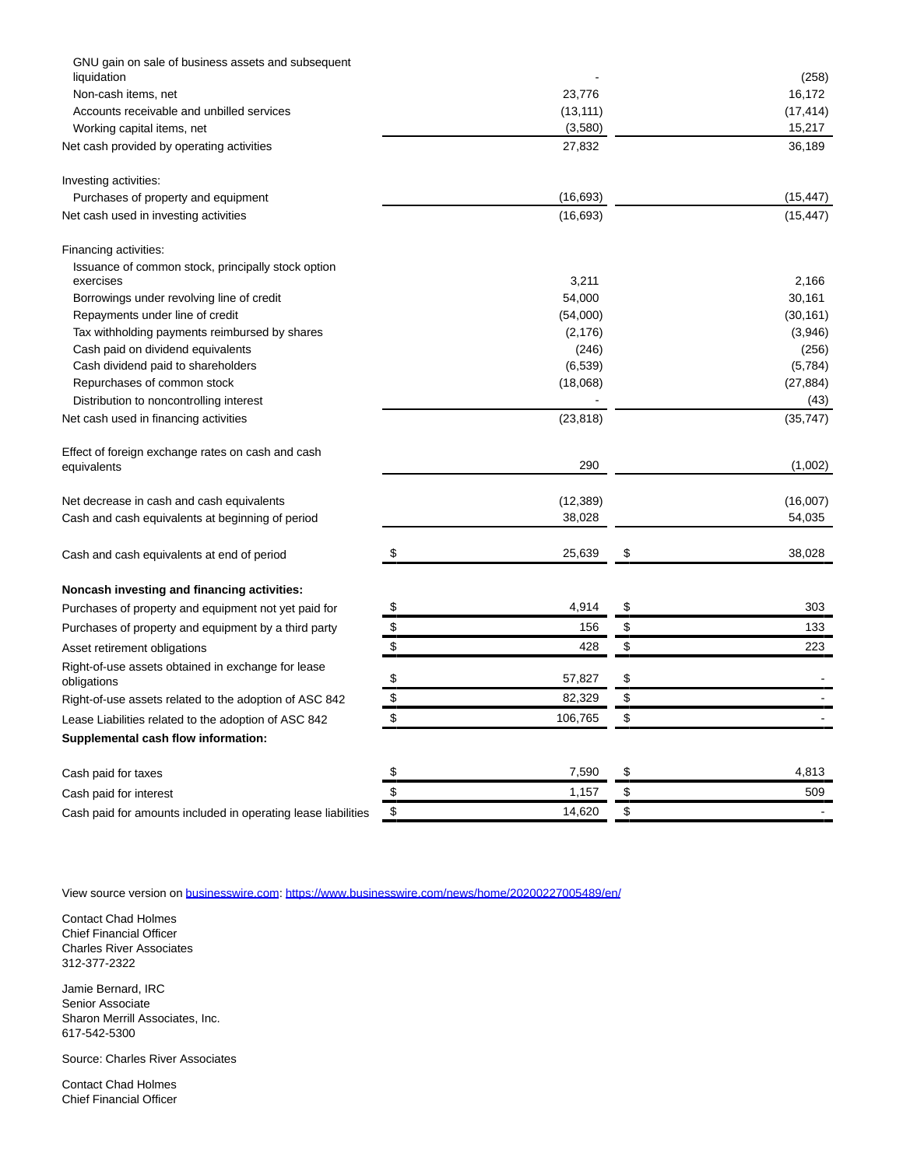| GNU gain on sale of business assets and subsequent<br>liquidation |               | (258)        |
|-------------------------------------------------------------------|---------------|--------------|
| Non-cash items, net                                               | 23,776        | 16,172       |
| Accounts receivable and unbilled services                         | (13, 111)     | (17, 414)    |
| Working capital items, net                                        | (3,580)       | 15,217       |
| Net cash provided by operating activities                         | 27,832        | 36,189       |
| Investing activities:                                             |               |              |
| Purchases of property and equipment                               | (16, 693)     | (15, 447)    |
| Net cash used in investing activities                             | (16, 693)     | (15, 447)    |
| Financing activities:                                             |               |              |
| Issuance of common stock, principally stock option<br>exercises   | 3,211         | 2,166        |
| Borrowings under revolving line of credit                         | 54,000        | 30,161       |
| Repayments under line of credit                                   | (54,000)      | (30, 161)    |
| Tax withholding payments reimbursed by shares                     | (2, 176)      | (3,946)      |
| Cash paid on dividend equivalents                                 | (246)         | (256)        |
| Cash dividend paid to shareholders                                | (6, 539)      | (5,784)      |
| Repurchases of common stock                                       | (18,068)      | (27, 884)    |
| Distribution to noncontrolling interest                           |               | (43)         |
| Net cash used in financing activities                             | (23, 818)     | (35, 747)    |
| Effect of foreign exchange rates on cash and cash<br>equivalents  | 290           | (1,002)      |
| Net decrease in cash and cash equivalents                         | (12, 389)     | (16,007)     |
| Cash and cash equivalents at beginning of period                  | 38,028        | 54,035       |
| Cash and cash equivalents at end of period                        | \$<br>25,639  | \$<br>38,028 |
| Noncash investing and financing activities:                       |               |              |
| Purchases of property and equipment not yet paid for              | \$<br>4,914   | \$<br>303    |
| Purchases of property and equipment by a third party              | \$<br>156     | \$<br>133    |
| Asset retirement obligations                                      | \$<br>428     | \$<br>223    |
| Right-of-use assets obtained in exchange for lease<br>obligations | \$<br>57,827  | \$           |
| Right-of-use assets related to the adoption of ASC 842            | \$<br>82,329  | \$           |
| Lease Liabilities related to the adoption of ASC 842              | \$<br>106,765 | \$           |
| Supplemental cash flow information:                               |               |              |
| Cash paid for taxes                                               | \$<br>7,590   | \$<br>4,813  |
| Cash paid for interest                                            | \$<br>1,157   | \$<br>509    |
| Cash paid for amounts included in operating lease liabilities     | \$<br>14,620  | \$           |
|                                                                   |               |              |

View source version on [businesswire.com:](http://businesswire.com/)<https://www.businesswire.com/news/home/20200227005489/en/>

Contact Chad Holmes Chief Financial Officer Charles River Associates 312-377-2322

Jamie Bernard, IRC Senior Associate Sharon Merrill Associates, Inc. 617-542-5300

Source: Charles River Associates

Contact Chad Holmes Chief Financial Officer